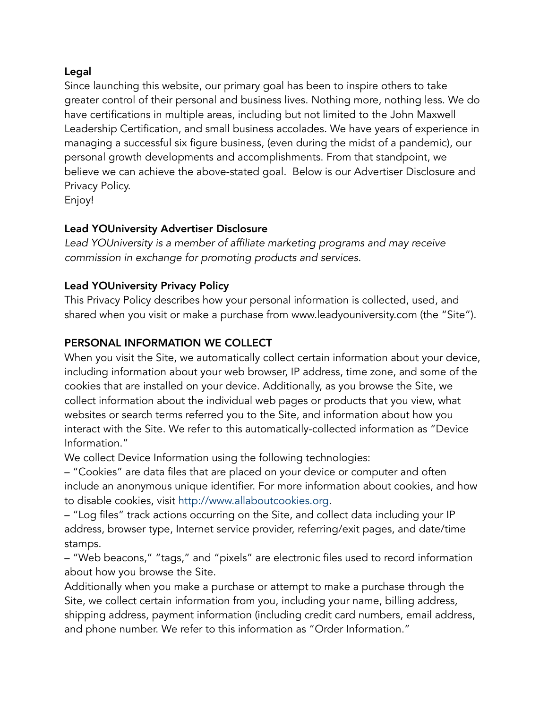#### Legal

Since launching this website, our primary goal has been to inspire others to take greater control of their personal and business lives. Nothing more, nothing less. We do have certifications in multiple areas, including but not limited to the John Maxwell Leadership Certification, and small business accolades. We have years of experience in managing a successful six figure business, (even during the midst of a pandemic), our personal growth developments and accomplishments. From that standpoint, we believe we can achieve the above-stated goal. Below is our Advertiser Disclosure and Privacy Policy.

Enjoy!

#### Lead YOUniversity Advertiser Disclosure

*Lead YOUniversity is a member of affiliate marketing programs and may receive commission in exchange for promoting products and services.*

#### Lead YOUniversity Privacy Policy

This Privacy Policy describes how your personal information is collected, used, and shared when you visit or make a purchase from www.leadyouniversity.com (the "Site").

#### PERSONAL INFORMATION WE COLLECT

When you visit the Site, we automatically collect certain information about your device, including information about your web browser, IP address, time zone, and some of the cookies that are installed on your device. Additionally, as you browse the Site, we collect information about the individual web pages or products that you view, what websites or search terms referred you to the Site, and information about how you interact with the Site. We refer to this automatically-collected information as "Device Information."

We collect Device Information using the following technologies:

– "Cookies" are data files that are placed on your device or computer and often include an anonymous unique identifier. For more information about cookies, and how to disable cookies, visit [http://www.allaboutcookies.org.](http://www.allaboutcookies.org/)

– "Log files" track actions occurring on the Site, and collect data including your IP address, browser type, Internet service provider, referring/exit pages, and date/time stamps.

– "Web beacons," "tags," and "pixels" are electronic files used to record information about how you browse the Site.

Additionally when you make a purchase or attempt to make a purchase through the Site, we collect certain information from you, including your name, billing address, shipping address, payment information (including credit card numbers, email address, and phone number. We refer to this information as "Order Information."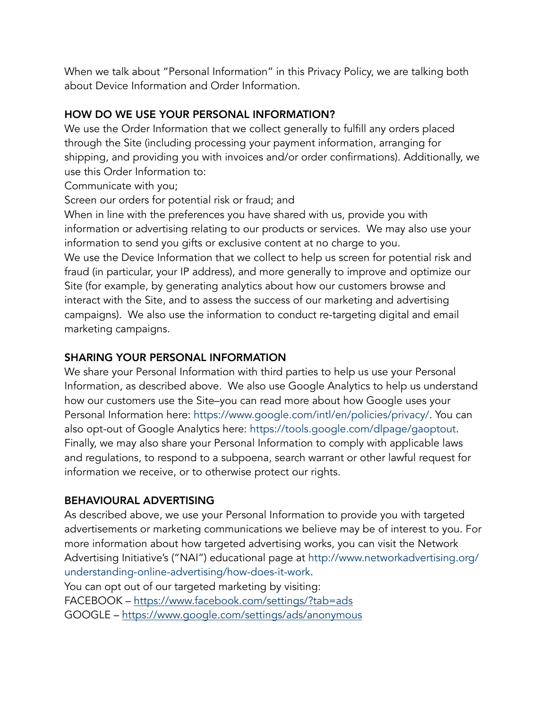When we talk about "Personal Information" in this Privacy Policy, we are talking both about Device Information and Order Information.

# HOW DO WE USE YOUR PERSONAL INFORMATION?

We use the Order Information that we collect generally to fulfill any orders placed through the Site (including processing your payment information, arranging for shipping, and providing you with invoices and/or order confirmations). Additionally, we use this Order Information to:

Communicate with you;

Screen our orders for potential risk or fraud; and

When in line with the preferences you have shared with us, provide you with information or advertising relating to our products or services. We may also use your information to send you gifts or exclusive content at no charge to you. We use the Device Information that we collect to help us screen for potential risk and fraud (in particular, your IP address), and more generally to improve and optimize our Site (for example, by generating analytics about how our customers browse and interact with the Site, and to assess the success of our marketing and advertising campaigns). We also use the information to conduct re-targeting digital and email marketing campaigns.

# SHARING YOUR PERSONAL INFORMATION

We share your Personal Information with third parties to help us use your Personal Information, as described above. We also use Google Analytics to help us understand how our customers use the Site–you can read more about how Google uses your Personal Information here: [https://www.google.com/intl/en/policies/privacy/.](https://www.google.com/intl/en/policies/privacy/) You can also opt-out of Google Analytics here: [https://tools.google.com/dlpage/gaoptout.](https://tools.google.com/dlpage/gaoptout) Finally, we may also share your Personal Information to comply with applicable laws and regulations, to respond to a subpoena, search warrant or other lawful request for information we receive, or to otherwise protect our rights.

## BEHAVIOURAL ADVERTISING

As described above, we use your Personal Information to provide you with targeted advertisements or marketing communications we believe may be of interest to you. For more information about how targeted advertising works, you can visit the Network Advertising Initiative's ("NAI") educational page at [http://www.networkadvertising.org/](http://www.networkadvertising.org/understanding-online-advertising/how-does-it-work) [understanding-online-advertising/how-does-it-work.](http://www.networkadvertising.org/understanding-online-advertising/how-does-it-work) 

You can opt out of our targeted marketing by visiting:

FACEBOOK – <https://www.facebook.com/settings/?tab=ads>

GOOGLE –<https://www.google.com/settings/ads/anonymous>